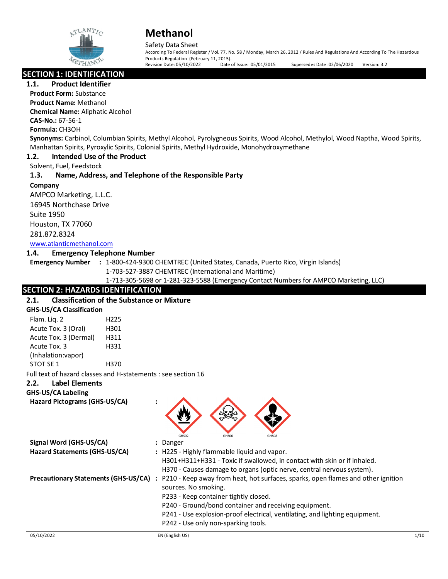

# Safety Data Sheet

According To Federal Register / Vol. 77, No. 58 / Monday, March 26, 2012 / Rules And Regulations And According To The Hazardous Products Regulation (February 11, 2015).<br>Revision Date: 05/10/2022 Date of Issue: 05/01/2015 Supersedes Date: 02/06/2020 Version: 3.2

**SECTION 1: IDENTIFICATION** 

**1.1. Product Identifier**

**Product Form:** Substance **Product Name:** Methanol

**Chemical Name:** Aliphatic Alcohol

**CAS-No.:** 67‐56‐1

**Formula:** CH3OH

**Synonyms:** Carbinol, Columbian Spirits, Methyl Alcohol, Pyrolygneous Spirits, Wood Alcohol, Methylol, Wood Naptha, Wood Spirits, Manhattan Spirits, Pyroxylic Spirits, Colonial Spirits, Methyl Hydroxide, Monohydroxymethane

# **1.2. Intended Use of the Product**

Solvent, Fuel, Feedstock

# **1.3. Name, Address, and Telephone of the Responsible Party**

**Company**  AMPCO Marketing, L.L.C. 16945 Northchase Drive Suite 1950 Houston, TX 77060 281.872.8324 [www.atlanticmethanol.com](file://leon/Customers/CUSTOMERS/AMPCO_Marketing_LLC/Projects/Authoring_20220224/Batch_Folder/E_Final_SDS/MS_Word_Files/www.atlanticmethanol.com)

# **1.4. Emergency Telephone Number**

**Emergency Number :** 1-800-424-9300 CHEMTREC (United States, Canada, Puerto Rico, Virgin Islands)

1-703-527-3887 CHEMTREC (International and Maritime)

1-713-305-5698 or 1-281-323-5588 (Emergency Contact Numbers for AMPCO Marketing, LLC)

# **SECTION 2: HAZARDS IDENTIFICATION**

# **2.1. Classification of the Substance or Mixture**

| <b>GHS-US/CA Classification</b> |                                                               |
|---------------------------------|---------------------------------------------------------------|
| Flam. Lig. 2                    | H <sub>225</sub>                                              |
| Acute Tox. 3 (Oral)             | H301                                                          |
| Acute Tox. 3 (Dermal)           | H311                                                          |
| Acute Tox. 3                    | H331                                                          |
| (Inhalation:vapor)              |                                                               |
| STOT SE 1                       | H370                                                          |
|                                 | Full text of hazard classes and H-statements : see section 16 |

# **2.2. Label Elements**

**GHS-US/CA Labeling**

**Hazard Pictograms (GHS-US/CA) :**



|                                             | GHS02                                       | GHS06 | GHS08                                                                              |
|---------------------------------------------|---------------------------------------------|-------|------------------------------------------------------------------------------------|
| Signal Word (GHS-US/CA)                     | : Danger                                    |       |                                                                                    |
| Hazard Statements (GHS-US/CA)               | : H225 - Highly flammable liquid and vapor. |       |                                                                                    |
|                                             |                                             |       | H301+H311+H331 - Toxic if swallowed, in contact with skin or if inhaled.           |
|                                             |                                             |       | H370 - Causes damage to organs (optic nerve, central nervous system).              |
| <b>Precautionary Statements (GHS-US/CA)</b> |                                             |       | : P210 - Keep away from heat, hot surfaces, sparks, open flames and other ignition |
|                                             | sources. No smoking.                        |       |                                                                                    |
|                                             | P233 - Keep container tightly closed.       |       |                                                                                    |
|                                             |                                             |       | P240 - Ground/bond container and receiving equipment.                              |
|                                             |                                             |       | P241 - Use explosion-proof electrical, ventilating, and lighting equipment.        |
|                                             | P242 - Use only non-sparking tools.         |       |                                                                                    |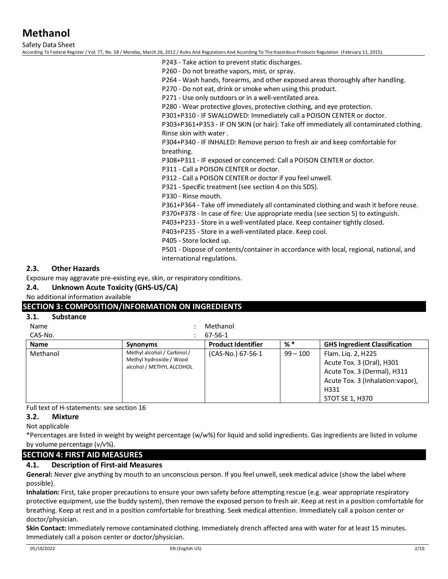Safety Data Sheet

According To Federal Register / Vol. 77, No. 58 / Monday, March 26, 2012 / Rules And Regulations And According To The Hazardous Products Regulation (February 11, 2015).

P243 - Take action to prevent static discharges.

P260 - Do not breathe vapors, mist, or spray.

P264 - Wash hands, forearms, and other exposed areas thoroughly after handling.

P270 - Do not eat, drink or smoke when using this product.

P271 - Use only outdoors or in a well-ventilated area.

P280 - Wear protective gloves, protective clothing, and eye protection.

P301+P310 - IF SWALLOWED: Immediately call a POISON CENTER or doctor.

P303+P361+P353 - IF ON SKIN (or hair): Take off immediately all contaminated clothing. Rinse skin with water .

P304+P340 - IF INHALED: Remove person to fresh air and keep comfortable for breathing.

P308+P311 - IF exposed or concerned: Call a POISON CENTER or doctor.

P311 - Call a POISON CENTER or doctor.

P312 - Call a POISON CENTER or doctor if you feel unwell.

P321 - Specific treatment (see section 4 on this SDS).

P330 - Rinse mouth.

P361+P364 - Take off immediately all contaminated clothing and wash it before reuse.

P370+P378 - In case of fire: Use appropriate media (see section 5) to extinguish.

P403+P233 - Store in a well-ventilated place. Keep container tightly closed.

P403+P235 - Store in a well-ventilated place. Keep cool.

P405 - Store locked up.

P501 - Dispose of contents/container in accordance with local, regional, national, and international regulations.

### **2.3. Other Hazards**

Exposure may aggravate pre-existing eye, skin, or respiratory conditions.

**2.4. Unknown Acute Toxicity (GHS-US/CA)**

No additional information available

# **SECTION 3: COMPOSITION/INFORMATION ON INGREDIENTS**

#### **3.1. Substance**

Name : Methanol

| CAS-No.     |                                                                                    | 67-56-1                   |            |                                                                                                                                                |
|-------------|------------------------------------------------------------------------------------|---------------------------|------------|------------------------------------------------------------------------------------------------------------------------------------------------|
| <b>Name</b> | <b>Synonyms</b>                                                                    | <b>Product Identifier</b> | %*         | <b>GHS Ingredient Classification</b>                                                                                                           |
| Methanol    | Methyl alcohol / Carbinol /<br>Methyl hydroxide / Wood<br>alcohol / METHYL ALCOHOL | (CAS-No.) 67-56-1         | $99 - 100$ | Flam. Lig. 2, H225<br>Acute Tox. 3 (Oral), H301<br>Acute Tox. 3 (Dermal), H311<br>Acute Tox. 3 (Inhalation: vapor),<br>H331<br>STOT SE 1, H370 |

Full text of H-statements: see section 16

#### **3.2. Mixture**

Not applicable

\*Percentages are listed in weight by weight percentage (w/w%) for liquid and solid ingredients. Gas ingredients are listed in volume by volume percentage (v/v%).

# **SECTION 4: FIRST AID MEASURES**

#### **4.1. Description of First-aid Measures**

**General:** Never give anything by mouth to an unconscious person. If you feel unwell, seek medical advice (show the label where possible).

**Inhalation:** First, take proper precautions to ensure your own safety before attempting rescue (e.g. wear appropriate respiratory protective equipment, use the buddy system), then remove the exposed person to fresh air. Keep at rest in a position comfortable for breathing. Keep at rest and in a position comfortable for breathing. Seek medical attention. Immediately call a poison center or doctor/physician.

**Skin Contact:** Immediately remove contaminated clothing. Immediately drench affected area with water for at least 15 minutes. Immediately call a poison center or doctor/physician.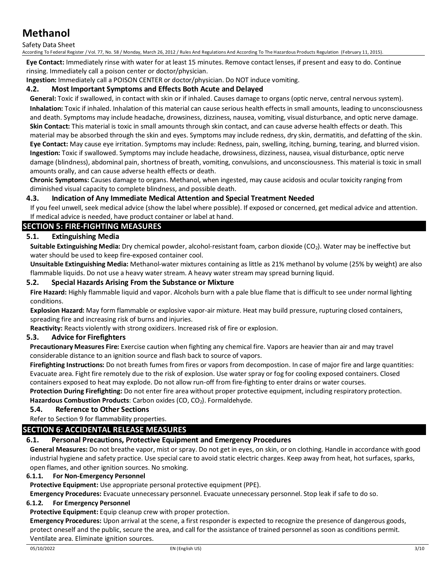#### Safety Data Sheet

According To Federal Register / Vol. 77, No. 58 / Monday, March 26, 2012 / Rules And Regulations And According To The Hazardous Products Regulation (February 11, 2015).

**Eye Contact:** Immediately rinse with water for at least 15 minutes. Remove contact lenses, if present and easy to do. Continue rinsing. Immediately call a poison center or doctor/physician.

**Ingestion:** Immediately call a POISON CENTER or doctor/physician. Do NOT induce vomiting.

#### **4.2. Most Important Symptoms and Effects Both Acute and Delayed**

**General:** Toxic if swallowed, in contact with skin or if inhaled. Causes damage to organs (optic nerve, central nervous system). **Inhalation:** Toxic if inhaled. Inhalation of this material can cause serious health effects in small amounts, leading to unconsciousness and death. Symptoms may include headache, drowsiness, dizziness, nausea, vomiting, visual disturbance, and optic nerve damage. **Skin Contact:** This material is toxic in small amounts through skin contact, and can cause adverse health effects or death. This material may be absorbed through the skin and eyes. Symptoms may include redness, dry skin, dermatitis, and defatting of the skin. **Eye Contact:** May cause eye irritation. Symptoms may include: Redness, pain, swelling, itching, burning, tearing, and blurred vision. **Ingestion:** Toxic if swallowed. Symptoms may include headache, drowsiness, dizziness, nausea, visual disturbance, optic nerve damage (blindness), abdominal pain, shortness of breath, vomiting, convulsions, and unconsciousness. This material is toxic in small amounts orally, and can cause adverse health effects or death.

**Chronic Symptoms:** Causes damage to organs. Methanol, when ingested, may cause acidosis and ocular toxicity ranging from diminished visual capacity to complete blindness, and possible death.

#### **4.3. Indication of Any Immediate Medical Attention and Special Treatment Needed**

If you feel unwell, seek medical advice (show the label where possible). If exposed or concerned, get medical advice and attention. If medical advice is needed, have product container or label at hand.

# **SECTION 5: FIRE-FIGHTING MEASURES**

### **5.1. Extinguishing Media**

**Suitable Extinguishing Media:** Dry chemical powder, alcohol-resistant foam, carbon dioxide (CO<sub>2</sub>). Water may be ineffective but water should be used to keep fire-exposed container cool.

**Unsuitable Extinguishing Media:** Methanol-water mixtures containing as little as 21% methanol by volume (25% by weight) are also flammable liquids. Do not use a heavy water stream. A heavy water stream may spread burning liquid.

#### **5.2. Special Hazards Arising From the Substance or Mixture**

**Fire Hazard:** Highly flammable liquid and vapor. Alcohols burn with a pale blue flame that is difficult to see under normal lighting conditions.

**Explosion Hazard:** May form flammable or explosive vapor-air mixture. Heat may build pressure, rupturing closed containers, spreading fire and increasing risk of burns and injuries.

**Reactivity:** Reacts violently with strong oxidizers. Increased risk of fire or explosion.

#### **5.3. Advice for Firefighters**

**Precautionary Measures Fire:** Exercise caution when fighting any chemical fire. Vapors are heavier than air and may travel considerable distance to an ignition source and flash back to source of vapors.

**Firefighting Instructions:** Do not breath fumes from fires or vapors from decompostion. In case of major fire and large quantities: Evacuate area. Fight fire remotely due to the risk of explosion. Use water spray or fog for cooling exposed containers. Closed containers exposed to heat may explode. Do not allow run-off from fire-fighting to enter drains or water courses.

**Protection During Firefighting:** Do not enter fire area without proper protective equipment, including respiratory protection. Hazardous Combustion Products: Carbon oxides (CO, CO<sub>2</sub>). Formaldehyde.

#### **5.4. Reference to Other Sections**

Refer to Section 9 for flammability properties.

# **SECTION 6: ACCIDENTAL RELEASE MEASURES**

#### **6.1. Personal Precautions, Protective Equipment and Emergency Procedures**

**General Measures:** Do not breathe vapor, mist or spray. Do not get in eyes, on skin, or on clothing. Handle in accordance with good industrial hygiene and safety practice. Use special care to avoid static electric charges. Keep away from heat, hot surfaces, sparks, open flames, and other ignition sources. No smoking.

#### **6.1.1. For Non-Emergency Personnel**

**Protective Equipment:** Use appropriate personal protective equipment (PPE).

**Emergency Procedures:** Evacuate unnecessary personnel. Evacuate unnecessary personnel. Stop leak if safe to do so.

#### **6.1.2. For Emergency Personnel**

**Protective Equipment:** Equip cleanup crew with proper protection.

**Emergency Procedures:** Upon arrival at the scene, a first responder is expected to recognize the presence of dangerous goods, protect oneself and the public, secure the area, and call for the assistance of trained personnel as soon as conditions permit. Ventilate area. Eliminate ignition sources.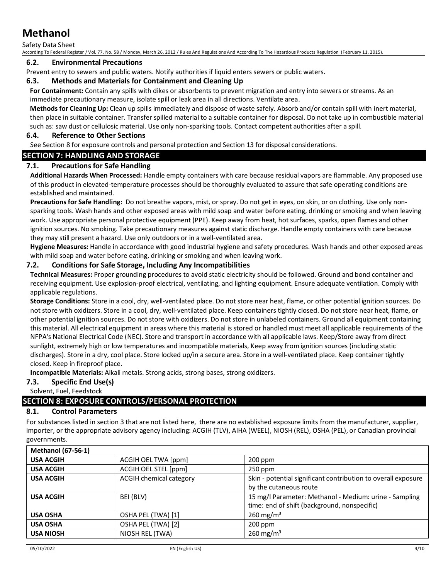Safety Data Sheet

According To Federal Register / Vol. 77, No. 58 / Monday, March 26, 2012 / Rules And Regulations And According To The Hazardous Products Regulation (February 11, 2015).

#### **6.2. Environmental Precautions**

Prevent entry to sewers and public waters. Notify authorities if liquid enters sewers or public waters.

### **6.3. Methods and Materials for Containment and Cleaning Up**

**For Containment:** Contain any spills with dikes or absorbents to prevent migration and entry into sewers or streams. As an immediate precautionary measure, isolate spill or leak area in all directions. Ventilate area.

**Methods for Cleaning Up:** Clean up spills immediately and dispose of waste safely. Absorb and/or contain spill with inert material, then place in suitable container. Transfer spilled material to a suitable container for disposal. Do not take up in combustible material such as: saw dust or cellulosic material. Use only non-sparking tools. Contact competent authorities after a spill.

### **6.4. Reference to Other Sections**

See Section 8 for exposure controls and personal protection and Section 13 for disposal considerations.

# **SECTION 7: HANDLING AND STORAGE**

# **7.1. Precautions for Safe Handling**

**Additional Hazards When Processed:** Handle empty containers with care because residual vapors are flammable. Any proposed use of this product in elevated-temperature processes should be thoroughly evaluated to assure that safe operating conditions are established and maintained.

**Precautions for Safe Handling:** Do not breathe vapors, mist, or spray. Do not get in eyes, on skin, or on clothing. Use only nonsparking tools. Wash hands and other exposed areas with mild soap and water before eating, drinking or smoking and when leaving work. Use appropriate personal protective equipment (PPE). Keep away from heat, hot surfaces, sparks, open flames and other ignition sources. No smoking. Take precautionary measures against static discharge. Handle empty containers with care because they may still present a hazard. Use only outdoors or in a well-ventilated area.

**Hygiene Measures:** Handle in accordance with good industrial hygiene and safety procedures. Wash hands and other exposed areas with mild soap and water before eating, drinking or smoking and when leaving work.

### **7.2. Conditions for Safe Storage, Including Any Incompatibilities**

**Technical Measures:** Proper grounding procedures to avoid static electricity should be followed. Ground and bond container and receiving equipment. Use explosion-proof electrical, ventilating, and lighting equipment. Ensure adequate ventilation. Comply with applicable regulations.

**Storage Conditions:** Store in a cool, dry, well-ventilated place. Do not store near heat, flame, or other potential ignition sources. Do not store with oxidizers. Store in a cool, dry, well-ventilated place. Keep containers tightly closed. Do not store near heat, flame, or other potential ignition sources. Do not store with oxidizers. Do not store in unlabeled containers. Ground all equipment containing this material. All electrical equipment in areas where this material is stored or handled must meet all applicable requirements of the NFPA's National Electrical Code (NEC). Store and transport in accordance with all applicable laws. Keep/Store away from direct sunlight, extremely high or low temperatures and incompatible materials, Keep away from ignition sources (including static discharges). Store in a dry, cool place. Store locked up/in a secure area. Store in a well-ventilated place. Keep container tightly closed. Keep in fireproof place.

**Incompatible Materials:** Alkali metals. Strong acids, strong bases, strong oxidizers.

# **7.3. Specific End Use(s)**

Solvent, Fuel, Feedstock

# **SECTION 8: EXPOSURE CONTROLS/PERSONAL PROTECTION**

#### **8.1. Control Parameters**

For substances listed in section 3 that are not listed here, there are no established exposure limits from the manufacturer, supplier, importer, or the appropriate advisory agency including: ACGIH (TLV), AIHA (WEEL), NIOSH (REL), OSHA (PEL), or Canadian provincial governments.

| <b>Methanol (67-56-1)</b> |                         |                                                               |
|---------------------------|-------------------------|---------------------------------------------------------------|
| <b>USA ACGIH</b>          | ACGIH OEL TWA [ppm]     | 200 ppm                                                       |
| <b>USA ACGIH</b>          | ACGIH OEL STEL [ppm]    | $250$ ppm                                                     |
| <b>USA ACGIH</b>          | ACGIH chemical category | Skin - potential significant contribution to overall exposure |
|                           |                         | by the cutaneous route                                        |
| <b>USA ACGIH</b>          | BEI (BLV)               | 15 mg/l Parameter: Methanol - Medium: urine - Sampling        |
|                           |                         | time: end of shift (background, nonspecific)                  |
| <b>USA OSHA</b>           | OSHA PEL (TWA) [1]      | 260 mg/m <sup>3</sup>                                         |
| <b>USA OSHA</b>           | OSHA PEL (TWA) [2]      | $200$ ppm                                                     |
| <b>USA NIOSH</b>          | NIOSH REL (TWA)         | 260 mg/m <sup>3</sup>                                         |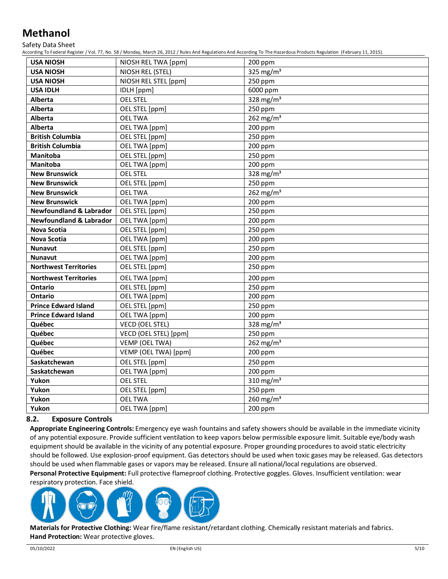Safety Data Sheet

According To Federal Register / Vol. 77, No. 58 / Monday, March 26, 2012 / Rules And Regulations And According To The Hazardous Products Regulation (February 11, 2015).

| <b>USA NIOSH</b>                   | NIOSH REL TWA [ppm]   | 200 ppm               |
|------------------------------------|-----------------------|-----------------------|
| <b>USA NIOSH</b>                   | NIOSH REL (STEL)      | 325 mg/ $m3$          |
| <b>USA NIOSH</b>                   | NIOSH REL STEL [ppm]  | 250 ppm               |
| <b>USA IDLH</b>                    | IDLH [ppm]            | 6000 ppm              |
| <b>Alberta</b>                     | <b>OEL STEL</b>       | 328 mg/m <sup>3</sup> |
| <b>Alberta</b>                     | OEL STEL [ppm]        | 250 ppm               |
| <b>Alberta</b>                     | <b>OEL TWA</b>        | 262 mg/ $m3$          |
| <b>Alberta</b>                     | OEL TWA [ppm]         | 200 ppm               |
| <b>British Columbia</b>            | OEL STEL [ppm]        | 250 ppm               |
| <b>British Columbia</b>            | OEL TWA [ppm]         | 200 ppm               |
| <b>Manitoba</b>                    | OEL STEL [ppm]        | 250 ppm               |
| <b>Manitoba</b>                    | OEL TWA [ppm]         | 200 ppm               |
| <b>New Brunswick</b>               | <b>OEL STEL</b>       | 328 mg/m <sup>3</sup> |
| <b>New Brunswick</b>               | OEL STEL [ppm]        | 250 ppm               |
| <b>New Brunswick</b>               | <b>OEL TWA</b>        | 262 mg/m <sup>3</sup> |
| <b>New Brunswick</b>               | OEL TWA [ppm]         | 200 ppm               |
| <b>Newfoundland &amp; Labrador</b> | OEL STEL [ppm]        | 250 ppm               |
| <b>Newfoundland &amp; Labrador</b> | OEL TWA [ppm]         | 200 ppm               |
| Nova Scotia                        | OEL STEL [ppm]        | 250 ppm               |
| <b>Nova Scotia</b>                 | OEL TWA [ppm]         | 200 ppm               |
| <b>Nunavut</b>                     | OEL STEL [ppm]        | 250 ppm               |
| <b>Nunavut</b>                     | OEL TWA [ppm]         | 200 ppm               |
| <b>Northwest Territories</b>       | OEL STEL [ppm]        | 250 ppm               |
| <b>Northwest Territories</b>       | OEL TWA [ppm]         | 200 ppm               |
| <b>Ontario</b>                     | OEL STEL [ppm]        | 250 ppm               |
| Ontario                            | OEL TWA [ppm]         | 200 ppm               |
| <b>Prince Edward Island</b>        | OEL STEL [ppm]        | 250 ppm               |
| <b>Prince Edward Island</b>        | OEL TWA [ppm]         | 200 ppm               |
| Québec                             | VECD (OEL STEL)       | 328 mg/m <sup>3</sup> |
| Québec                             | VECD (OEL STEL) [ppm] | 250 ppm               |
| Québec                             | VEMP (OEL TWA)        | 262 mg/m <sup>3</sup> |
| Québec                             | VEMP (OEL TWA) [ppm]  | 200 ppm               |
| Saskatchewan                       | OEL STEL [ppm]        | 250 ppm               |
| Saskatchewan                       | OEL TWA [ppm]         | 200 ppm               |
| Yukon                              | <b>OEL STEL</b>       | 310 mg/m <sup>3</sup> |
| Yukon                              | OEL STEL [ppm]        | 250 ppm               |
| Yukon                              | <b>OEL TWA</b>        | 260 mg/m $3$          |
| Yukon                              | OEL TWA [ppm]         | 200 ppm               |

#### **8.2. Exposure Controls**

**Appropriate Engineering Controls:** Emergency eye wash fountains and safety showers should be available in the immediate vicinity of any potential exposure. Provide sufficient ventilation to keep vapors below permissible exposure limit. Suitable eye/body wash equipment should be available in the vicinity of any potential exposure. Proper grounding procedures to avoid static electricity should be followed. Use explosion-proof equipment. Gas detectors should be used when toxic gases may be released. Gas detectors should be used when flammable gases or vapors may be released. Ensure all national/local regulations are observed. **Personal Protective Equipment:** Full protective flameproof clothing. Protective goggles. Gloves. Insufficient ventilation: wear

respiratory protection. Face shield.



**Materials for Protective Clothing:** Wear fire/flame resistant/retardant clothing. Chemically resistant materials and fabrics. **Hand Protection:** Wear protective gloves.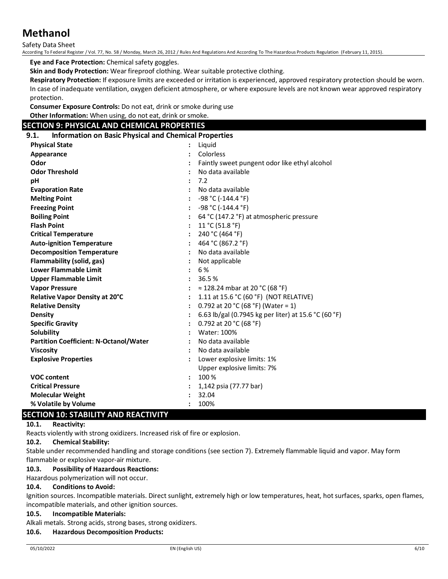Safety Data Sheet

According To Federal Register / Vol. 77, No. 58 / Monday, March 26, 2012 / Rules And Regulations And According To The Hazardous Products Regulation (February 11, 2015).

**Eye and Face Protection:** Chemical safety goggles.

**Skin and Body Protection:** Wear fireproof clothing. Wear suitable protective clothing.

**Respiratory Protection:** If exposure limits are exceeded or irritation is experienced, approved respiratory protection should be worn. In case of inadequate ventilation, oxygen deficient atmosphere, or where exposure levels are not known wear approved respiratory protection.

**Consumer Exposure Controls:** Do not eat, drink or smoke during use **Other Information:** When using, do not eat, drink or smoke.

# **SECTION 9: PHYSICAL AND CHEMICAL PROPERTIES**

#### **9.1. Information on Basic Physical and Chemical Properties**

| <b>Physical State</b>                         | Liquid                                               |
|-----------------------------------------------|------------------------------------------------------|
| Appearance                                    | Colorless                                            |
| Odor                                          | Faintly sweet pungent odor like ethyl alcohol        |
| <b>Odor Threshold</b>                         | No data available                                    |
| рH                                            | 7.2                                                  |
| <b>Evaporation Rate</b>                       | No data available                                    |
| <b>Melting Point</b>                          | -98 °C (-144.4 °F)                                   |
| <b>Freezing Point</b>                         | $-98 °C (-144.4 °F)$                                 |
| <b>Boiling Point</b>                          | 64 °C (147.2 °F) at atmospheric pressure             |
| <b>Flash Point</b>                            | 11 °C (51.8 °F)                                      |
| <b>Critical Temperature</b>                   | 240 °C (464 °F)                                      |
| <b>Auto-ignition Temperature</b>              | 464 °C (867.2 °F)                                    |
| <b>Decomposition Temperature</b>              | No data available                                    |
| Flammability (solid, gas)                     | Not applicable                                       |
| <b>Lower Flammable Limit</b>                  | 6 %                                                  |
| <b>Upper Flammable Limit</b>                  | 36.5%                                                |
| <b>Vapor Pressure</b>                         | $\approx$ 128.24 mbar at 20 °C (68 °F)               |
| Relative Vapor Density at 20°C                | 1.11 at 15.6 °C (60 °F) (NOT RELATIVE)               |
| <b>Relative Density</b>                       | 0.792 at 20 °C (68 °F) (Water = 1)                   |
| <b>Density</b>                                | 6.63 lb/gal (0.7945 kg per liter) at 15.6 °C (60 °F) |
| <b>Specific Gravity</b>                       | 0.792 at 20 °C (68 °F)                               |
| <b>Solubility</b>                             | Water: 100%                                          |
| <b>Partition Coefficient: N-Octanol/Water</b> | No data available                                    |
| <b>Viscosity</b>                              | No data available                                    |
| <b>Explosive Properties</b>                   | Lower explosive limits: 1%                           |
|                                               | Upper explosive limits: 7%                           |
| <b>VOC content</b>                            | 100 %                                                |
| <b>Critical Pressure</b>                      | 1,142 psia (77.77 bar)                               |
| <b>Molecular Weight</b>                       | 32.04                                                |
| % Volatile by Volume                          | 100%                                                 |

# **SECTION 10: STABILITY AND REACTIVITY**

#### **10.1. Reactivity:**

Reacts violently with strong oxidizers. Increased risk of fire or explosion.

#### **10.2. Chemical Stability:**

Stable under recommended handling and storage conditions (see section 7). Extremely flammable liquid and vapor. May form flammable or explosive vapor-air mixture.

#### **10.3. Possibility of Hazardous Reactions:**

### Hazardous polymerization will not occur.

#### **10.4. Conditions to Avoid:**

Ignition sources. Incompatible materials. Direct sunlight, extremely high or low temperatures, heat, hot surfaces, sparks, open flames, incompatible materials, and other ignition sources.

#### **10.5. Incompatible Materials:**

Alkali metals. Strong acids, strong bases, strong oxidizers.

#### **10.6. Hazardous Decomposition Products:**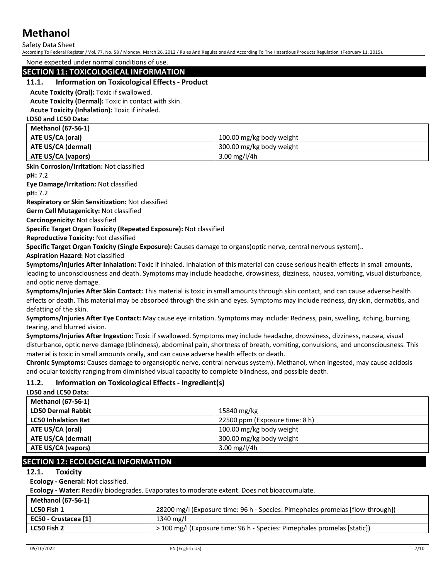#### Safety Data Sheet

According To Federal Register / Vol. 77, No. 58 / Monday, March 26, 2012 / Rules And Regulations And According To The Hazardous Products Regulation (February 11, 2015).

None expected under normal conditions of use.

### **SECTION 11: TOXICOLOGICAL INFORMATION**

#### **11.1. Information on Toxicological Effects - Product**

**Acute Toxicity (Oral):** Toxic if swallowed.

**Acute Toxicity (Dermal):** Toxic in contact with skin.

**Acute Toxicity (Inhalation):** Toxic if inhaled.

**LD50 and LC50 Data: Methanol (67-56-1)**

| -Niethanol (67-56-1) |                          |
|----------------------|--------------------------|
| ATE US/CA (oral)     | 100.00 mg/kg body weight |
| ATE US/CA (dermal)   | 300.00 mg/kg body weight |
| ATE US/CA (vapors)   | 3.00 mg/l/4h             |

**Skin Corrosion/Irritation:** Not classified

**pH:** 7.2

**Eye Damage/Irritation:** Not classified

**pH:** 7.2

**Respiratory or Skin Sensitization:** Not classified

**Germ Cell Mutagenicity:** Not classified

**Carcinogenicity:** Not classified

**Specific Target Organ Toxicity (Repeated Exposure):** Not classified

**Reproductive Toxicity:** Not classified

**Specific Target Organ Toxicity (Single Exposure):** Causes damage to organs(optic nerve, central nervous system)..

**Aspiration Hazard:** Not classified

**Symptoms/Injuries After Inhalation:** Toxic if inhaled. Inhalation of this material can cause serious health effects in small amounts, leading to unconsciousness and death. Symptoms may include headache, drowsiness, dizziness, nausea, vomiting, visual disturbance, and optic nerve damage.

**Symptoms/Injuries After Skin Contact:** This material is toxic in small amounts through skin contact, and can cause adverse health effects or death. This material may be absorbed through the skin and eyes. Symptoms may include redness, dry skin, dermatitis, and defatting of the skin.

**Symptoms/Injuries After Eye Contact:** May cause eye irritation. Symptoms may include: Redness, pain, swelling, itching, burning, tearing, and blurred vision.

**Symptoms/Injuries After Ingestion:** Toxic if swallowed. Symptoms may include headache, drowsiness, dizziness, nausea, visual disturbance, optic nerve damage (blindness), abdominal pain, shortness of breath, vomiting, convulsions, and unconsciousness. This material is toxic in small amounts orally, and can cause adverse health effects or death.

**Chronic Symptoms:** Causes damage to organs(optic nerve, central nervous system). Methanol, when ingested, may cause acidosis and ocular toxicity ranging from diminished visual capacity to complete blindness, and possible death.

# **11.2. Information on Toxicological Effects - Ingredient(s)**

**LD50 and LC50 Data:**

| <b>Methanol (67-56-1)</b>  |                                |
|----------------------------|--------------------------------|
| <b>LD50 Dermal Rabbit</b>  | 15840 mg/kg                    |
| <b>LC50 Inhalation Rat</b> | 22500 ppm (Exposure time: 8 h) |
| ATE US/CA (oral)           | 100.00 mg/kg body weight       |
| ATE US/CA (dermal)         | 300.00 mg/kg body weight       |
| <b>ATE US/CA (vapors)</b>  | 3.00 mg/l/4h                   |

# **SECTION 12: ECOLOGICAL INFORMATION**

### **12.1. Toxicity**

**Ecology - General:** Not classified.

**Ecology - Water:** Readily biodegrades. Evaporates to moderate extent. Does not bioaccumulate.

| <b>Methanol (67-56-1)</b> |                                                                                    |
|---------------------------|------------------------------------------------------------------------------------|
| LC50 Fish 1               | [flow-through] (Exposure time: 96 h - Species: Pimephales promelas [flow-through]) |
| EC50 - Crustacea [1]      | 1340 mg/l                                                                          |
| LC50 Fish 2               | > 100 mg/l (Exposure time: 96 h - Species: Pimephales promelas [static])           |
|                           |                                                                                    |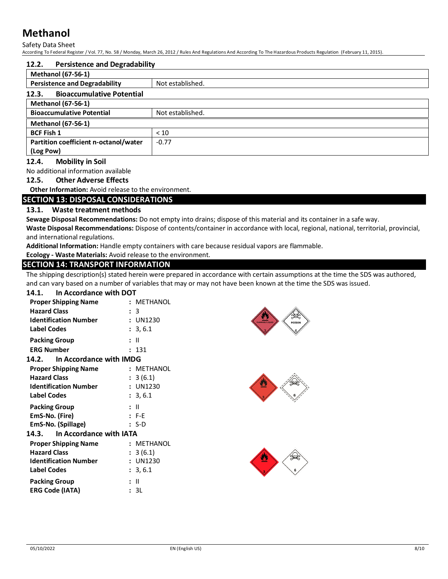Safety Data Sheet

According To Federal Register / Vol. 77, No. 58 / Monday, March 26, 2012 / Rules And Regulations And According To The Hazardous Products Regulation (February 11, 2015).

| 12.2.                                     | <b>Persistence and Degradability</b> |  |  |
|-------------------------------------------|--------------------------------------|--|--|
| <b>Methanol (67-56-1)</b>                 |                                      |  |  |
| <b>Persistence and Degradability</b>      | Not established.                     |  |  |
| <b>Bioaccumulative Potential</b><br>12.3. |                                      |  |  |
| <b>Methanol (67-56-1)</b>                 |                                      |  |  |
| <b>Bioaccumulative Potential</b>          | Not established.                     |  |  |
| <b>Methanol (67-56-1)</b>                 |                                      |  |  |
| <b>BCF Fish 1</b>                         | < 10                                 |  |  |
| Partition coefficient n-octanol/water     | $-0.77$                              |  |  |
| (Log Pow)                                 |                                      |  |  |

### **12.4. Mobility in Soil**

No additional information available

#### **12.5. Other Adverse Effects**

**Other Information:** Avoid release to the environment.

#### **SECTION 13: DISPOSAL CONSIDERATIONS**

### **13.1. Waste treatment methods**

**Sewage Disposal Recommendations:** Do not empty into drains; dispose of this material and its container in a safe way.

**Waste Disposal Recommendations:** Dispose of contents/container in accordance with local, regional, national, territorial, provincial, and international regulations.

**Additional Information:** Handle empty containers with care because residual vapors are flammable.

**Ecology - Waste Materials:** Avoid release to the environment.

# **SECTION 14: TRANSPORT INFORMATION**

The shipping description(s) stated herein were prepared in accordance with certain assumptions at the time the SDS was authored, and can vary based on a number of variables that may or may not have been known at the time the SDS was issued.

#### **14.1. In Accordance with DOT**

| <b>Proper Shipping Name</b>   |  | : METHANOL |  |  |
|-------------------------------|--|------------|--|--|
| <b>Hazard Class</b>           |  | : 3        |  |  |
| <b>Identification Number</b>  |  | : UN1230   |  |  |
| <b>Label Codes</b>            |  | : 3, 6.1   |  |  |
| <b>Packing Group</b>          |  | : II       |  |  |
| <b>ERG Number</b>             |  | : 131      |  |  |
| 14.2. In Accordance with IMDG |  |            |  |  |
| <b>Proper Shipping Name</b>   |  | : METHANOL |  |  |
| <b>Hazard Class</b>           |  | : 3(6.1)   |  |  |
| <b>Identification Number</b>  |  | : UN1230   |  |  |
| <b>Label Codes</b>            |  | : 3, 6.1   |  |  |
| <b>Packing Group</b>          |  | : II       |  |  |
| EmS-No. (Fire)                |  | $: F-E$    |  |  |
| EmS-No. (Spillage)            |  | : S-D      |  |  |
| 14.3. In Accordance with IATA |  |            |  |  |
| <b>Proper Shipping Name</b>   |  | : METHANOL |  |  |
| <b>Hazard Class</b>           |  | : 3(6.1)   |  |  |
| <b>Identification Number</b>  |  | : UN1230   |  |  |
| <b>Label Codes</b>            |  | : 3, 6.1   |  |  |
| <b>Packing Group</b>          |  | : II       |  |  |
| <b>ERG Code (IATA)</b>        |  | : 3L       |  |  |





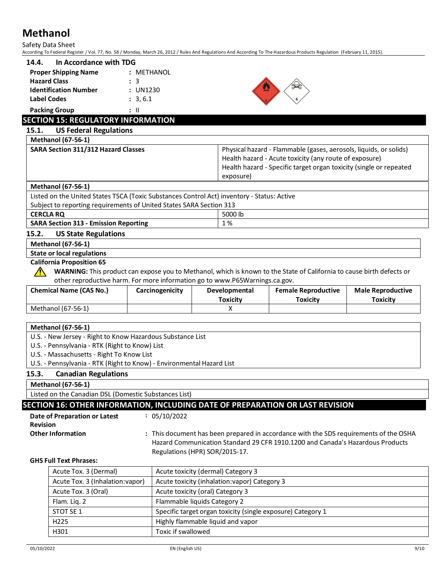|                 | Safety Data Sheet<br>According To Federal Register / Vol. 77, No. 58 / Monday, March 26, 2012 / Rules And Regulations And According To The Hazardous Products Regulation (February 11, 2015). |                 |                                                             |                                                                                                                                                                                                   |                                             |
|-----------------|-----------------------------------------------------------------------------------------------------------------------------------------------------------------------------------------------|-----------------|-------------------------------------------------------------|---------------------------------------------------------------------------------------------------------------------------------------------------------------------------------------------------|---------------------------------------------|
| 14.4.           | In Accordance with TDG                                                                                                                                                                        |                 |                                                             |                                                                                                                                                                                                   |                                             |
|                 | <b>Proper Shipping Name</b>                                                                                                                                                                   | : METHANOL      |                                                             |                                                                                                                                                                                                   |                                             |
|                 | <b>Hazard Class</b>                                                                                                                                                                           | : 3             |                                                             |                                                                                                                                                                                                   |                                             |
|                 | <b>Identification Number</b>                                                                                                                                                                  | : UN1230        |                                                             |                                                                                                                                                                                                   |                                             |
|                 | <b>Label Codes</b>                                                                                                                                                                            | : 3, 6.1        |                                                             |                                                                                                                                                                                                   |                                             |
|                 | <b>Packing Group</b>                                                                                                                                                                          | $\mathbf{H}$    |                                                             |                                                                                                                                                                                                   |                                             |
|                 | <b>SECTION 15: REGULATORY INFORMATION</b>                                                                                                                                                     |                 |                                                             |                                                                                                                                                                                                   |                                             |
| 15.1.           | <b>US Federal Regulations</b>                                                                                                                                                                 |                 |                                                             |                                                                                                                                                                                                   |                                             |
|                 | <b>Methanol (67-56-1)</b>                                                                                                                                                                     |                 |                                                             |                                                                                                                                                                                                   |                                             |
|                 | <b>SARA Section 311/312 Hazard Classes</b>                                                                                                                                                    |                 | exposure)                                                   | Physical hazard - Flammable (gases, aerosols, liquids, or solids)<br>Health hazard - Acute toxicity (any route of exposure)<br>Health hazard - Specific target organ toxicity (single or repeated |                                             |
|                 | <b>Methanol (67-56-1)</b>                                                                                                                                                                     |                 |                                                             |                                                                                                                                                                                                   |                                             |
|                 | Listed on the United States TSCA (Toxic Substances Control Act) inventory - Status: Active                                                                                                    |                 |                                                             |                                                                                                                                                                                                   |                                             |
|                 | Subject to reporting requirements of United States SARA Section 313                                                                                                                           |                 |                                                             |                                                                                                                                                                                                   |                                             |
|                 | <b>CERCLA RQ</b>                                                                                                                                                                              |                 | 5000 lb                                                     |                                                                                                                                                                                                   |                                             |
|                 | <b>SARA Section 313 - Emission Reporting</b>                                                                                                                                                  |                 | 1%                                                          |                                                                                                                                                                                                   |                                             |
| 15.2.           | <b>US State Regulations</b><br><b>Methanol (67-56-1)</b>                                                                                                                                      |                 |                                                             |                                                                                                                                                                                                   |                                             |
|                 | <b>State or local regulations</b>                                                                                                                                                             |                 |                                                             |                                                                                                                                                                                                   |                                             |
|                 | <b>California Proposition 65</b>                                                                                                                                                              |                 |                                                             |                                                                                                                                                                                                   |                                             |
|                 |                                                                                                                                                                                               |                 |                                                             | WARNING: This product can expose you to Methanol, which is known to the State of California to cause birth defects or                                                                             |                                             |
|                 | other reproductive harm. For more information go to www.P65Warnings.ca.gov.                                                                                                                   |                 |                                                             |                                                                                                                                                                                                   |                                             |
|                 | <b>Chemical Name (CAS No.)</b>                                                                                                                                                                | Carcinogenicity | Developmental<br><b>Toxicity</b>                            | <b>Female Reproductive</b><br><b>Toxicity</b>                                                                                                                                                     | <b>Male Reproductive</b><br><b>Toxicity</b> |
|                 | Methanol (67-56-1)                                                                                                                                                                            |                 | X                                                           |                                                                                                                                                                                                   |                                             |
|                 |                                                                                                                                                                                               |                 |                                                             |                                                                                                                                                                                                   |                                             |
|                 | <b>Methanol (67-56-1)</b>                                                                                                                                                                     |                 |                                                             |                                                                                                                                                                                                   |                                             |
|                 | U.S. - New Jersey - Right to Know Hazardous Substance List                                                                                                                                    |                 |                                                             |                                                                                                                                                                                                   |                                             |
|                 | U.S. - Pennsylvania - RTK (Right to Know) List<br>U.S. - Massachusetts - Right To Know List                                                                                                   |                 |                                                             |                                                                                                                                                                                                   |                                             |
|                 | U.S. - Pennsylvania - RTK (Right to Know) - Environmental Hazard List                                                                                                                         |                 |                                                             |                                                                                                                                                                                                   |                                             |
| 15.3.           | <b>Canadian Regulations</b>                                                                                                                                                                   |                 |                                                             |                                                                                                                                                                                                   |                                             |
|                 | <b>Methanol (67-56-1)</b>                                                                                                                                                                     |                 |                                                             |                                                                                                                                                                                                   |                                             |
|                 | Listed on the Canadian DSL (Domestic Substances List)                                                                                                                                         |                 |                                                             |                                                                                                                                                                                                   |                                             |
|                 | SECTION 16: OTHER INFORMATION, INCLUDING DATE OF PREPARATION OR LAST REVISION                                                                                                                 |                 |                                                             |                                                                                                                                                                                                   |                                             |
|                 | Date of Preparation or Latest                                                                                                                                                                 | : 05/10/2022    |                                                             |                                                                                                                                                                                                   |                                             |
| <b>Revision</b> |                                                                                                                                                                                               |                 |                                                             |                                                                                                                                                                                                   |                                             |
|                 |                                                                                                                                                                                               |                 |                                                             |                                                                                                                                                                                                   |                                             |
|                 |                                                                                                                                                                                               |                 |                                                             |                                                                                                                                                                                                   |                                             |
|                 | <b>Other Information</b>                                                                                                                                                                      |                 |                                                             | : This document has been prepared in accordance with the SDS requirements of the OSHA<br>Hazard Communication Standard 29 CFR 1910.1200 and Canada's Hazardous Products                           |                                             |
|                 |                                                                                                                                                                                               |                 | Regulations (HPR) SOR/2015-17.                              |                                                                                                                                                                                                   |                                             |
|                 | <b>GHS Full Text Phrases:</b>                                                                                                                                                                 |                 |                                                             |                                                                                                                                                                                                   |                                             |
|                 | Acute Tox. 3 (Dermal)                                                                                                                                                                         |                 | Acute toxicity (dermal) Category 3                          |                                                                                                                                                                                                   |                                             |
|                 | Acute Tox. 3 (Inhalation: vapor)                                                                                                                                                              |                 | Acute toxicity (inhalation: vapor) Category 3               |                                                                                                                                                                                                   |                                             |
|                 | Acute Tox. 3 (Oral)                                                                                                                                                                           |                 | Acute toxicity (oral) Category 3                            |                                                                                                                                                                                                   |                                             |
|                 | Flam. Liq. 2                                                                                                                                                                                  |                 | Flammable liquids Category 2                                |                                                                                                                                                                                                   |                                             |
|                 | STOT SE 1                                                                                                                                                                                     |                 | Specific target organ toxicity (single exposure) Category 1 |                                                                                                                                                                                                   |                                             |

H301 Toxic if swallowed